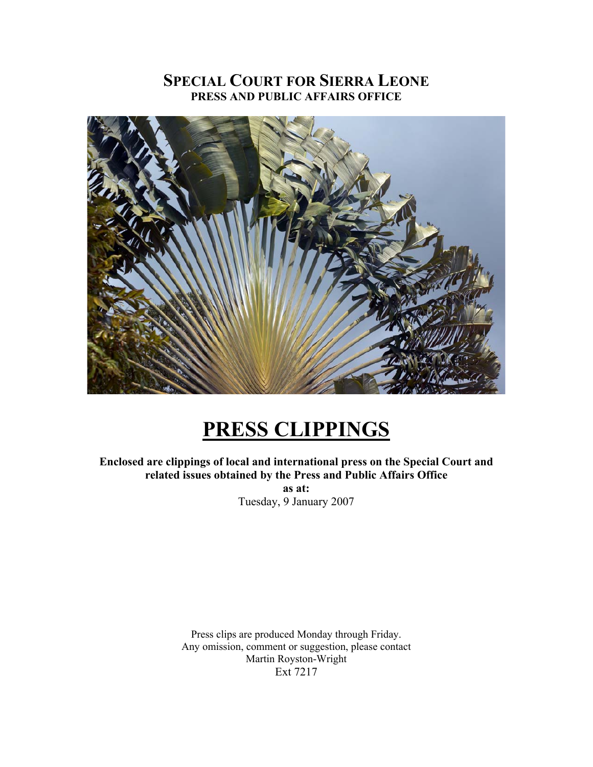## **SPECIAL COURT FOR SIERRA LEONE PRESS AND PUBLIC AFFAIRS OFFICE**



# **PRESS CLIPPINGS**

**Enclosed are clippings of local and international press on the Special Court and related issues obtained by the Press and Public Affairs Office** 

> **as at:**  Tuesday, 9 January 2007

Press clips are produced Monday through Friday. Any omission, comment or suggestion, please contact Martin Royston-Wright Ext 7217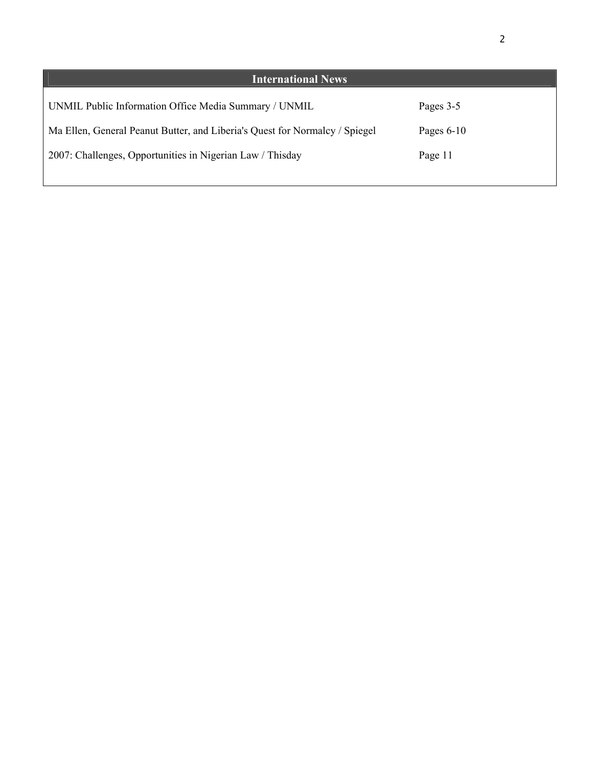| <b>International News</b>                                                   |              |
|-----------------------------------------------------------------------------|--------------|
| UNMIL Public Information Office Media Summary / UNMIL                       | Pages 3-5    |
| Ma Ellen, General Peanut Butter, and Liberia's Quest for Normalcy / Spiegel | Pages $6-10$ |
| 2007: Challenges, Opportunities in Nigerian Law / Thisday                   | Page 11      |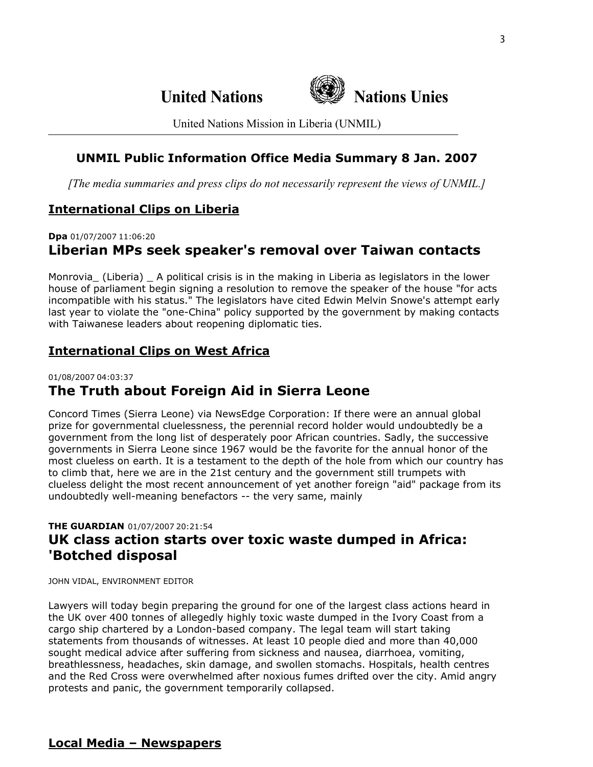

United Nations Mission in Liberia (UNMIL)

## **UNMIL Public Information Office Media Summary 8 Jan. 2007**

*[The media summaries and press clips do not necessarily represent the views of UNMIL.]*

## **International Clips on Liberia**

**Dpa** 01/07/2007 11:06:20

## **Liberian MPs seek speaker's removal over Taiwan contacts**

Monrovia\_ (Liberia) \_ A political crisis is in the making in Liberia as legislators in the lower house of parliament begin signing a resolution to remove the speaker of the house "for acts incompatible with his status." The legislators have cited Edwin Melvin Snowe's attempt early last year to violate the "one-China" policy supported by the government by making contacts with Taiwanese leaders about reopening diplomatic ties.

## **International Clips on West Africa**

## 01/08/2007 04:03:37 **The Truth about Foreign Aid in Sierra Leone**

Concord Times (Sierra Leone) via NewsEdge Corporation: If there were an annual global prize for governmental cluelessness, the perennial record holder would undoubtedly be a government from the long list of desperately poor African countries. Sadly, the successive governments in Sierra Leone since 1967 would be the favorite for the annual honor of the most clueless on earth. It is a testament to the depth of the hole from which our country has to climb that, here we are in the 21st century and the government still trumpets with clueless delight the most recent announcement of yet another foreign "aid" package from its undoubtedly well-meaning benefactors -- the very same, mainly

## **THE GUARDIAN** 01/07/2007 20:21:54 **UK class action starts over toxic waste dumped in Africa: 'Botched disposal**

JOHN VIDAL, ENVIRONMENT EDITOR

Lawyers will today begin preparing the ground for one of the largest class actions heard in the UK over 400 tonnes of allegedly highly toxic waste dumped in the Ivory Coast from a cargo ship chartered by a London-based company. The legal team will start taking statements from thousands of witnesses. At least 10 people died and more than 40,000 sought medical advice after suffering from sickness and nausea, diarrhoea, vomiting, breathlessness, headaches, skin damage, and swollen stomachs. Hospitals, health centres and the Red Cross were overwhelmed after noxious fumes drifted over the city. Amid angry protests and panic, the government temporarily collapsed.

### **Local Media – Newspapers**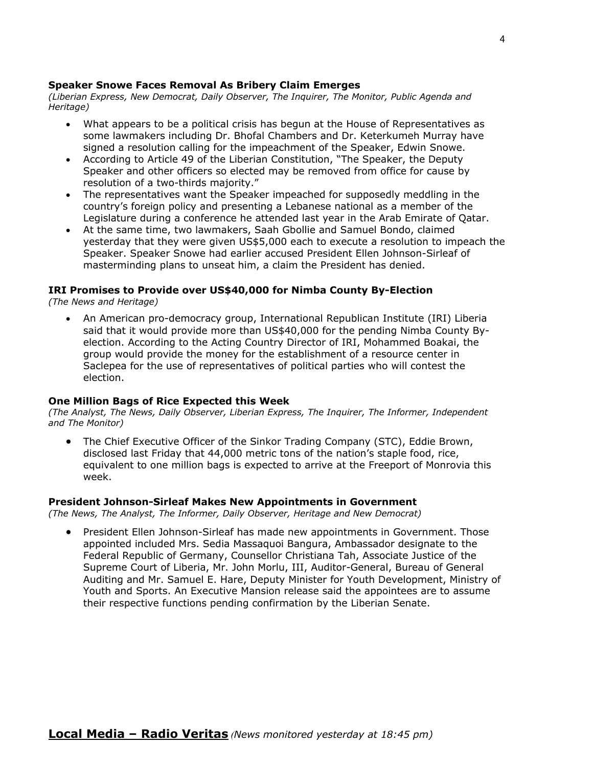#### **Speaker Snowe Faces Removal As Bribery Claim Emerges**

*(Liberian Express, New Democrat, Daily Observer, The Inquirer, The Monitor, Public Agenda and Heritage)* 

- What appears to be a political crisis has begun at the House of Representatives as some lawmakers including Dr. Bhofal Chambers and Dr. Keterkumeh Murray have signed a resolution calling for the impeachment of the Speaker, Edwin Snowe.
- According to Article 49 of the Liberian Constitution, "The Speaker, the Deputy Speaker and other officers so elected may be removed from office for cause by resolution of a two-thirds majority."
- The representatives want the Speaker impeached for supposedly meddling in the country's foreign policy and presenting a Lebanese national as a member of the Legislature during a conference he attended last year in the Arab Emirate of Qatar.
- At the same time, two lawmakers, Saah Gbollie and Samuel Bondo, claimed yesterday that they were given US\$5,000 each to execute a resolution to impeach the Speaker. Speaker Snowe had earlier accused President Ellen Johnson-Sirleaf of masterminding plans to unseat him, a claim the President has denied.

#### **IRI Promises to Provide over US\$40,000 for Nimba County By-Election**

*(The News and Heritage)* 

• An American pro-democracy group, International Republican Institute (IRI) Liberia said that it would provide more than US\$40,000 for the pending Nimba County Byelection. According to the Acting Country Director of IRI, Mohammed Boakai, the group would provide the money for the establishment of a resource center in Saclepea for the use of representatives of political parties who will contest the election.

#### **One Million Bags of Rice Expected this Week**

*(The Analyst, The News, Daily Observer, Liberian Express, The Inquirer, The Informer, Independent and The Monitor)*

• The Chief Executive Officer of the Sinkor Trading Company (STC), Eddie Brown, disclosed last Friday that 44,000 metric tons of the nation's staple food, rice, equivalent to one million bags is expected to arrive at the Freeport of Monrovia this week.

#### **President Johnson-Sirleaf Makes New Appointments in Government**

*(The News, The Analyst, The Informer, Daily Observer, Heritage and New Democrat)*

• President Ellen Johnson-Sirleaf has made new appointments in Government. Those appointed included Mrs. Sedia Massaquoi Bangura, Ambassador designate to the Federal Republic of Germany, Counsellor Christiana Tah, Associate Justice of the Supreme Court of Liberia, Mr. John Morlu, III, Auditor-General, Bureau of General Auditing and Mr. Samuel E. Hare, Deputy Minister for Youth Development, Ministry of Youth and Sports. An Executive Mansion release said the appointees are to assume their respective functions pending confirmation by the Liberian Senate.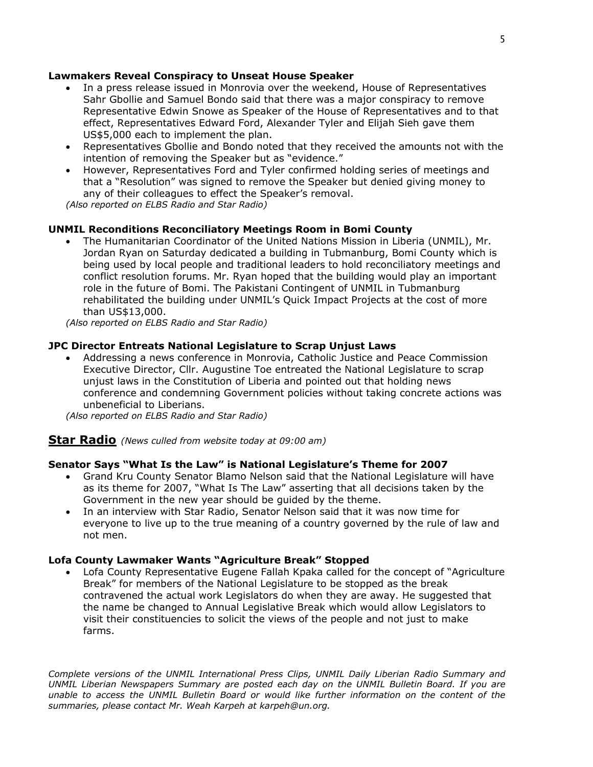#### **Lawmakers Reveal Conspiracy to Unseat House Speaker**

- In a press release issued in Monrovia over the weekend, House of Representatives Sahr Gbollie and Samuel Bondo said that there was a major conspiracy to remove Representative Edwin Snowe as Speaker of the House of Representatives and to that effect, Representatives Edward Ford, Alexander Tyler and Elijah Sieh gave them US\$5,000 each to implement the plan.
- Representatives Gbollie and Bondo noted that they received the amounts not with the intention of removing the Speaker but as "evidence."
- However, Representatives Ford and Tyler confirmed holding series of meetings and that a "Resolution" was signed to remove the Speaker but denied giving money to any of their colleagues to effect the Speaker's removal.

*(Also reported on ELBS Radio and Star Radio)*

#### **UNMIL Reconditions Reconciliatory Meetings Room in Bomi County**

• The Humanitarian Coordinator of the United Nations Mission in Liberia (UNMIL), Mr. Jordan Ryan on Saturday dedicated a building in Tubmanburg, Bomi County which is being used by local people and traditional leaders to hold reconciliatory meetings and conflict resolution forums. Mr. Ryan hoped that the building would play an important role in the future of Bomi. The Pakistani Contingent of UNMIL in Tubmanburg rehabilitated the building under UNMIL's Quick Impact Projects at the cost of more than US\$13,000.

*(Also reported on ELBS Radio and Star Radio)*

#### **JPC Director Entreats National Legislature to Scrap Unjust Laws**

• Addressing a news conference in Monrovia, Catholic Justice and Peace Commission Executive Director, Cllr. Augustine Toe entreated the National Legislature to scrap unjust laws in the Constitution of Liberia and pointed out that holding news conference and condemning Government policies without taking concrete actions was unbeneficial to Liberians.

*(Also reported on ELBS Radio and Star Radio)*

**Star Radio** *(News culled from website today at 09:00 am)*

#### **Senator Says "What Is the Law" is National Legislature's Theme for 2007**

- Grand Kru County Senator Blamo Nelson said that the National Legislature will have as its theme for 2007, "What Is The Law" asserting that all decisions taken by the Government in the new year should be guided by the theme.
- In an interview with Star Radio, Senator Nelson said that it was now time for everyone to live up to the true meaning of a country governed by the rule of law and not men.

#### **Lofa County Lawmaker Wants "Agriculture Break" Stopped**

• Lofa County Representative Eugene Fallah Kpaka called for the concept of "Agriculture Break" for members of the National Legislature to be stopped as the break contravened the actual work Legislators do when they are away. He suggested that the name be changed to Annual Legislative Break which would allow Legislators to visit their constituencies to solicit the views of the people and not just to make farms.

*Complete versions of the UNMIL International Press Clips, UNMIL Daily Liberian Radio Summary and UNMIL Liberian Newspapers Summary are posted each day on the UNMIL Bulletin Board. If you are*  unable to access the UNMIL Bulletin Board or would like further information on the content of the *summaries, please contact Mr. Weah Karpeh at karpeh@un.org.*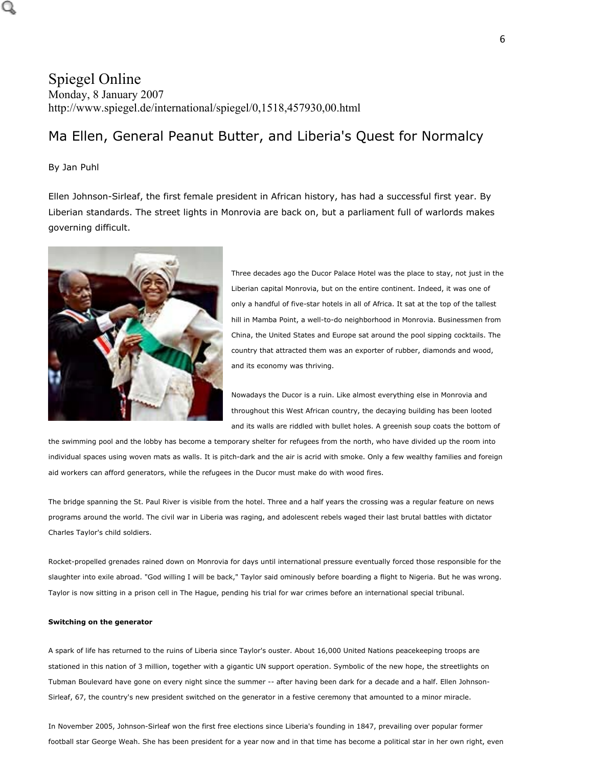## Spiegel Online Monday, 8 January 2007 http://www.spiegel.de/international/spiegel/0,1518,457930,00.html

## Ma Ellen, General Peanut Butter, and Liberia's Quest for Normalcy

#### By Jan Puhl

Ellen Johnson-Sirleaf, the first female president in African history, has had a successful first year. By Liberian standards. The street lights in Monrovia are back on, but a parliament full of warlords makes governing difficult.



Three decades ago the Ducor Palace Hotel was the place to stay, not just in the Liberian capital Monrovia, but on the entire continent. Indeed, it was one of only a handful of five-star hotels in all of Africa. It sat at the top of the tallest hill in Mamba Point, a well-to-do neighborhood in Monrovia. Businessmen from China, the United States and Europe sat around the pool sipping cocktails. The country that attracted them was an exporter of rubber, diamonds and wood, and its economy was thriving.

Nowadays the Ducor is a ruin. Like almost everything else in Monrovia and throughout this West African country, the decaying building has been looted and its walls are riddled with bullet holes. A greenish soup coats the bottom of

the swimming pool and the lobby has become a temporary shelter for refugees from the north, who have divided up the room into individual spaces using woven mats as walls. It is pitch-dark and the air is acrid with smoke. Only a few wealthy families and foreign aid workers can afford generators, while the refugees in the Ducor must make do with wood fires.

The bridge spanning the St. Paul River is visible from the hotel. Three and a half years the crossing was a regular feature on news programs around the world. The civil war in Liberia was raging, and adolescent rebels waged their last brutal battles with dictator Charles Taylor's child soldiers.

Rocket-propelled grenades rained down on Monrovia for days until international pressure eventually forced those responsible for the slaughter into exile abroad. "God willing I will be back," Taylor said ominously before boarding a flight to Nigeria. But he was wrong. Taylor is now sitting in a prison cell in The Hague, pending his trial for war crimes before an international special tribunal.

#### **Switching on the generator**

A spark of life has returned to the ruins of Liberia since Taylor's ouster. About 16,000 United Nations peacekeeping troops are stationed in this nation of 3 million, together with a gigantic UN support operation. Symbolic of the new hope, the streetlights on Tubman Boulevard have gone on every night since the summer -- after having been dark for a decade and a half. Ellen Johnson-Sirleaf, 67, the country's new president switched on the generator in a festive ceremony that amounted to a minor miracle.

In November 2005, Johnson-Sirleaf won the first free elections since Liberia's founding in 1847, prevailing over popular former football star George Weah. She has been president for a year now and in that time has become a political star in her own right, even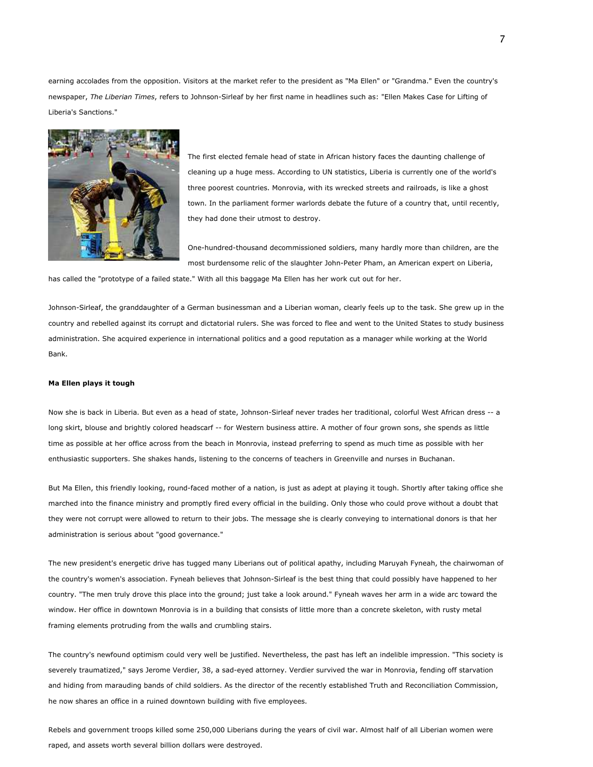earning accolades from the opposition. Visitors at the market refer to the president as "Ma Ellen" or "Grandma." Even the country's newspaper, *The Liberian Times*, refers to Johnson-Sirleaf by her first name in headlines such as: "Ellen Makes Case for Lifting of Liberia's Sanctions."



The first elected female head of state in African history faces the daunting challenge of cleaning up a huge mess. According to UN statistics, Liberia is currently one of the world's three poorest countries. Monrovia, with its wrecked streets and railroads, is like a ghost town. In the parliament former warlords debate the future of a country that, until recently, they had done their utmost to destroy.

One-hundred-thousand decommissioned soldiers, many hardly more than children, are the most burdensome relic of the slaughter John-Peter Pham, an American expert on Liberia,

has called the "prototype of a failed state." With all this baggage Ma Ellen has her work cut out for her.

Johnson-Sirleaf, the granddaughter of a German businessman and a Liberian woman, clearly feels up to the task. She grew up in the country and rebelled against its corrupt and dictatorial rulers. She was forced to flee and went to the United States to study business administration. She acquired experience in international politics and a good reputation as a manager while working at the World Bank.

#### **Ma Ellen plays it tough**

Now she is back in Liberia. But even as a head of state, Johnson-Sirleaf never trades her traditional, colorful West African dress -- a long skirt, blouse and brightly colored headscarf -- for Western business attire. A mother of four grown sons, she spends as little time as possible at her office across from the beach in Monrovia, instead preferring to spend as much time as possible with her enthusiastic supporters. She shakes hands, listening to the concerns of teachers in Greenville and nurses in Buchanan.

But Ma Ellen, this friendly looking, round-faced mother of a nation, is just as adept at playing it tough. Shortly after taking office she marched into the finance ministry and promptly fired every official in the building. Only those who could prove without a doubt that they were not corrupt were allowed to return to their jobs. The message she is clearly conveying to international donors is that her administration is serious about "good governance."

The new president's energetic drive has tugged many Liberians out of political apathy, including Maruyah Fyneah, the chairwoman of the country's women's association. Fyneah believes that Johnson-Sirleaf is the best thing that could possibly have happened to her country. "The men truly drove this place into the ground; just take a look around." Fyneah waves her arm in a wide arc toward the window. Her office in downtown Monrovia is in a building that consists of little more than a concrete skeleton, with rusty metal framing elements protruding from the walls and crumbling stairs.

The country's newfound optimism could very well be justified. Nevertheless, the past has left an indelible impression. "This society is severely traumatized," says Jerome Verdier, 38, a sad-eyed attorney. Verdier survived the war in Monrovia, fending off starvation and hiding from marauding bands of child soldiers. As the director of the recently established Truth and Reconciliation Commission, he now shares an office in a ruined downtown building with five employees.

Rebels and government troops killed some 250,000 Liberians during the years of civil war. Almost half of all Liberian women were raped, and assets worth several billion dollars were destroyed.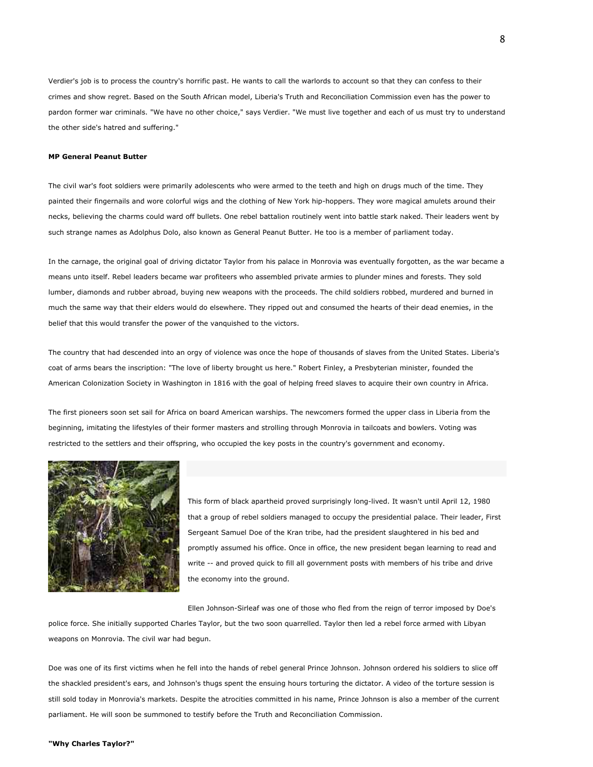Verdier's job is to process the country's horrific past. He wants to call the warlords to account so that they can confess to their crimes and show regret. Based on the South African model, Liberia's Truth and Reconciliation Commission even has the power to pardon former war criminals. "We have no other choice," says Verdier. "We must live together and each of us must try to understand the other side's hatred and suffering."

#### **MP General Peanut Butter**

The civil war's foot soldiers were primarily adolescents who were armed to the teeth and high on drugs much of the time. They painted their fingernails and wore colorful wigs and the clothing of New York hip-hoppers. They wore magical amulets around their necks, believing the charms could ward off bullets. One rebel battalion routinely went into battle stark naked. Their leaders went by such strange names as Adolphus Dolo, also known as General Peanut Butter. He too is a member of parliament today.

In the carnage, the original goal of driving dictator Taylor from his palace in Monrovia was eventually forgotten, as the war became a means unto itself. Rebel leaders became war profiteers who assembled private armies to plunder mines and forests. They sold lumber, diamonds and rubber abroad, buying new weapons with the proceeds. The child soldiers robbed, murdered and burned in much the same way that their elders would do elsewhere. They ripped out and consumed the hearts of their dead enemies, in the belief that this would transfer the power of the vanquished to the victors.

The country that had descended into an orgy of violence was once the hope of thousands of slaves from the United States. Liberia's coat of arms bears the inscription: "The love of liberty brought us here." Robert Finley, a Presbyterian minister, founded the American Colonization Society in Washington in 1816 with the goal of helping freed slaves to acquire their own country in Africa.

The first pioneers soon set sail for Africa on board American warships. The newcomers formed the upper class in Liberia from the beginning, imitating the lifestyles of their former masters and strolling through Monrovia in tailcoats and bowlers. Voting was restricted to the settlers and their offspring, who occupied the key posts in the country's government and economy.



This form of black apartheid proved surprisingly long-lived. It wasn't until April 12, 1980 that a group of rebel soldiers managed to occupy the presidential palace. Their leader, First Sergeant Samuel Doe of the Kran tribe, had the president slaughtered in his bed and promptly assumed his office. Once in office, the new president began learning to read and write -- and proved quick to fill all government posts with members of his tribe and drive the economy into the ground.

Ellen Johnson-Sirleaf was one of those who fled from the reign of terror imposed by Doe's

police force. She initially supported Charles Taylor, but the two soon quarrelled. Taylor then led a rebel force armed with Libyan weapons on Monrovia. The civil war had begun.

Doe was one of its first victims when he fell into the hands of rebel general Prince Johnson. Johnson ordered his soldiers to slice off the shackled president's ears, and Johnson's thugs spent the ensuing hours torturing the dictator. A video of the torture session is still sold today in Monrovia's markets. Despite the atrocities committed in his name, Prince Johnson is also a member of the current parliament. He will soon be summoned to testify before the Truth and Reconciliation Commission.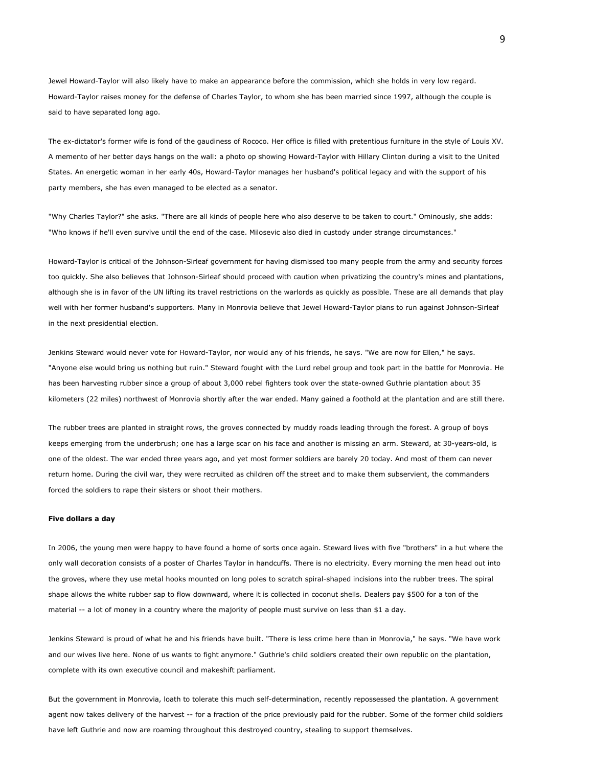Jewel Howard-Taylor will also likely have to make an appearance before the commission, which she holds in very low regard. Howard-Taylor raises money for the defense of Charles Taylor, to whom she has been married since 1997, although the couple is said to have separated long ago.

The ex-dictator's former wife is fond of the gaudiness of Rococo. Her office is filled with pretentious furniture in the style of Louis XV. A memento of her better days hangs on the wall: a photo op showing Howard-Taylor with Hillary Clinton during a visit to the United States. An energetic woman in her early 40s, Howard-Taylor manages her husband's political legacy and with the support of his party members, she has even managed to be elected as a senator.

"Why Charles Taylor?" she asks. "There are all kinds of people here who also deserve to be taken to court." Ominously, she adds: "Who knows if he'll even survive until the end of the case. Milosevic also died in custody under strange circumstances."

Howard-Taylor is critical of the Johnson-Sirleaf government for having dismissed too many people from the army and security forces too quickly. She also believes that Johnson-Sirleaf should proceed with caution when privatizing the country's mines and plantations, although she is in favor of the UN lifting its travel restrictions on the warlords as quickly as possible. These are all demands that play well with her former husband's supporters. Many in Monrovia believe that Jewel Howard-Taylor plans to run against Johnson-Sirleaf in the next presidential election.

Jenkins Steward would never vote for Howard-Taylor, nor would any of his friends, he says. "We are now for Ellen," he says. "Anyone else would bring us nothing but ruin." Steward fought with the Lurd rebel group and took part in the battle for Monrovia. He has been harvesting rubber since a group of about 3,000 rebel fighters took over the state-owned Guthrie plantation about 35 kilometers (22 miles) northwest of Monrovia shortly after the war ended. Many gained a foothold at the plantation and are still there.

The rubber trees are planted in straight rows, the groves connected by muddy roads leading through the forest. A group of boys keeps emerging from the underbrush; one has a large scar on his face and another is missing an arm. Steward, at 30-years-old, is one of the oldest. The war ended three years ago, and yet most former soldiers are barely 20 today. And most of them can never return home. During the civil war, they were recruited as children off the street and to make them subservient, the commanders forced the soldiers to rape their sisters or shoot their mothers.

#### **Five dollars a day**

In 2006, the young men were happy to have found a home of sorts once again. Steward lives with five "brothers" in a hut where the only wall decoration consists of a poster of Charles Taylor in handcuffs. There is no electricity. Every morning the men head out into the groves, where they use metal hooks mounted on long poles to scratch spiral-shaped incisions into the rubber trees. The spiral shape allows the white rubber sap to flow downward, where it is collected in coconut shells. Dealers pay \$500 for a ton of the material -- a lot of money in a country where the majority of people must survive on less than \$1 a day.

Jenkins Steward is proud of what he and his friends have built. "There is less crime here than in Monrovia," he says. "We have work and our wives live here. None of us wants to fight anymore." Guthrie's child soldiers created their own republic on the plantation, complete with its own executive council and makeshift parliament.

But the government in Monrovia, loath to tolerate this much self-determination, recently repossessed the plantation. A government agent now takes delivery of the harvest -- for a fraction of the price previously paid for the rubber. Some of the former child soldiers have left Guthrie and now are roaming throughout this destroyed country, stealing to support themselves.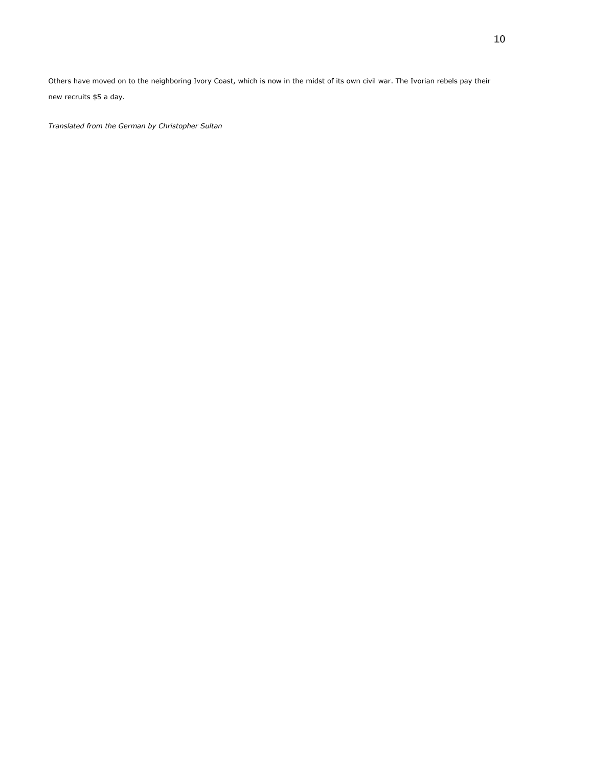Others have moved on to the neighboring Ivory Coast, which is now in the midst of its own civil war. The Ivorian rebels pay their new recruits \$5 a day.

*Translated from the German by Christopher Sultan*